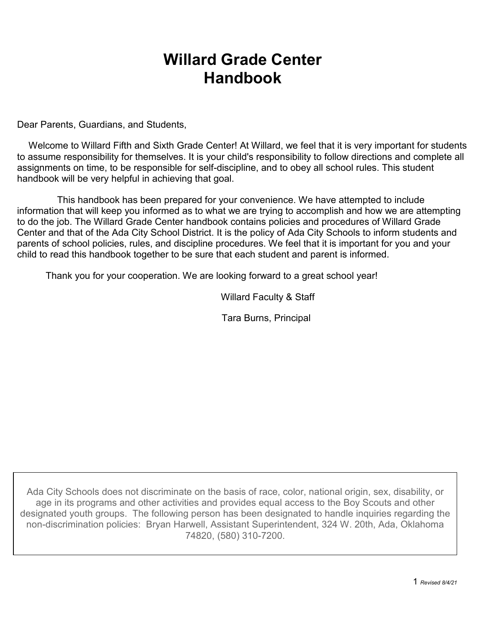# **Willard Grade Center Handbook**

Dear Parents, Guardians, and Students,

Welcome to Willard Fifth and Sixth Grade Center! At Willard, we feel that it is very important for students to assume responsibility for themselves. It is your child's responsibility to follow directions and complete all assignments on time, to be responsible for self-discipline, and to obey all school rules. This student handbook will be very helpful in achieving that goal.

This handbook has been prepared for your convenience. We have attempted to include information that will keep you informed as to what we are trying to accomplish and how we are attempting to do the job. The Willard Grade Center handbook contains policies and procedures of Willard Grade Center and that of the Ada City School District. It is the policy of Ada City Schools to inform students and parents of school policies, rules, and discipline procedures. We feel that it is important for you and your child to read this handbook together to be sure that each student and parent is informed.

Thank you for your cooperation. We are looking forward to a great school year!

Willard Faculty & Staff

Tara Burns, Principal

Ada City Schools does not discriminate on the basis of race, color, national origin, sex, disability, or age in its programs and other activities and provides equal access to the Boy Scouts and other designated youth groups. The following person has been designated to handle inquiries regarding the non-discrimination policies: Bryan Harwell, Assistant Superintendent, 324 W. 20th, Ada, Oklahoma 74820, (580) 310-7200.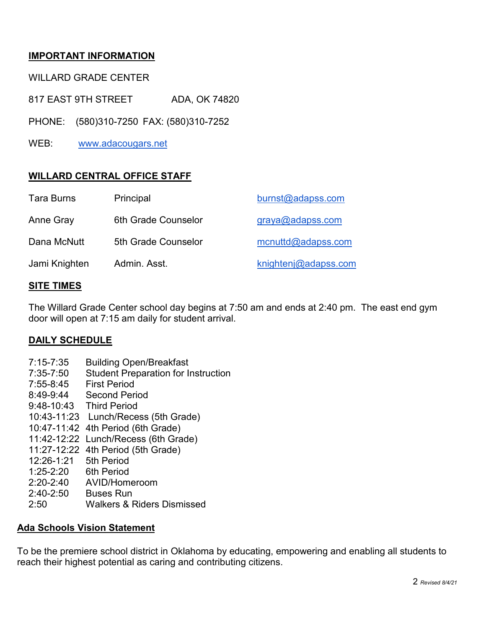# **IMPORTANT INFORMATION**

WILLARD GRADE CENTER

817 EAST 9TH STREET ADA, OK 74820

PHONE: (580)310-7250 FAX: (580)310-7252

WEB: [www.adacougars.net](http://www.adacougars.net/)

# **WILLARD CENTRAL OFFICE STAFF**

| <b>Tara Burns</b> | Principal           | burnst@adapss.com     |
|-------------------|---------------------|-----------------------|
| Anne Gray         | 6th Grade Counselor | graya@adapss.com      |
| Dana McNutt       | 5th Grade Counselor | $m$ cnuttd@adapss.com |
| Jami Knighten     | Admin, Asst.        | knightenj@adapss.com  |

### **SITE TIMES**

The Willard Grade Center school day begins at 7:50 am and ends at 2:40 pm. The east end gym door will open at 7:15 am daily for student arrival.

### **DAILY SCHEDULE**

- 7:15-7:35 Building Open/Breakfast
- 7:35-7:50 Student Preparation for Instruction
- 7:55-8:45 First Period
- 8:49-9:44 Second Period
- 9:48-10:43 Third Period
- 10:43-11:23 Lunch/Recess (5th Grade)
- 10:47-11:42 4th Period (6th Grade)
- 11:42-12:22 Lunch/Recess (6th Grade)
- 11:27-12:22 4th Period (5th Grade)
- 12:26-1:21 5th Period
- 1:25-2:20 6th Period
- 2:20-2:40 AVID/Homeroom
- 2:40-2:50 Buses Run
- 2:50 Walkers & Riders Dismissed

### **Ada Schools Vision Statement**

To be the premiere school district in Oklahoma by educating, empowering and enabling all students to reach their highest potential as caring and contributing citizens.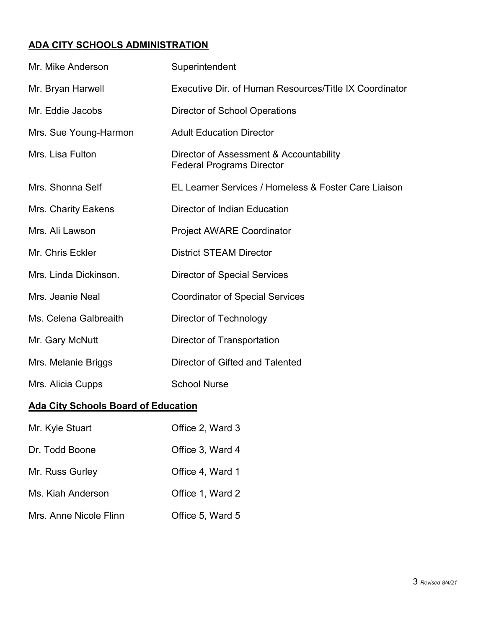# **ADA CITY SCHOOLS ADMINISTRATION**

| Mr. Mike Anderson                          | Superintendent                                                              |  |  |
|--------------------------------------------|-----------------------------------------------------------------------------|--|--|
| Mr. Bryan Harwell                          | Executive Dir. of Human Resources/Title IX Coordinator                      |  |  |
| Mr. Eddie Jacobs                           | <b>Director of School Operations</b>                                        |  |  |
| Mrs. Sue Young-Harmon                      | <b>Adult Education Director</b>                                             |  |  |
| Mrs. Lisa Fulton                           | Director of Assessment & Accountability<br><b>Federal Programs Director</b> |  |  |
| Mrs. Shonna Self                           | EL Learner Services / Homeless & Foster Care Liaison                        |  |  |
| Mrs. Charity Eakens                        | Director of Indian Education                                                |  |  |
| Mrs. Ali Lawson                            | <b>Project AWARE Coordinator</b>                                            |  |  |
| Mr. Chris Eckler                           | <b>District STEAM Director</b>                                              |  |  |
| Mrs. Linda Dickinson.                      | <b>Director of Special Services</b>                                         |  |  |
| Mrs. Jeanie Neal                           | <b>Coordinator of Special Services</b>                                      |  |  |
| Ms. Celena Galbreaith                      | Director of Technology                                                      |  |  |
| Mr. Gary McNutt                            | <b>Director of Transportation</b>                                           |  |  |
| Mrs. Melanie Briggs                        | Director of Gifted and Talented                                             |  |  |
| Mrs. Alicia Cupps                          | <b>School Nurse</b>                                                         |  |  |
| <b>Ada City Schools Board of Education</b> |                                                                             |  |  |

| Mr. Kyle Stuart        | Office 2, Ward 3 |
|------------------------|------------------|
| Dr. Todd Boone         | Office 3, Ward 4 |
| Mr. Russ Gurley        | Office 4, Ward 1 |
| Ms. Kiah Anderson      | Office 1, Ward 2 |
| Mrs. Anne Nicole Flinn | Office 5, Ward 5 |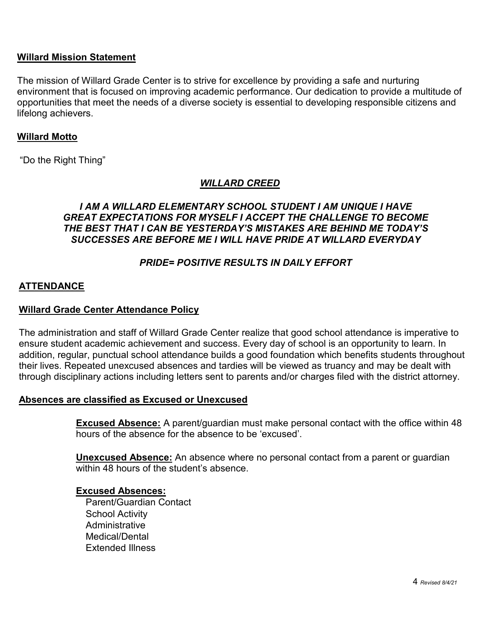### **Willard Mission Statement**

The mission of Willard Grade Center is to strive for excellence by providing a safe and nurturing environment that is focused on improving academic performance. Our dedication to provide a multitude of opportunities that meet the needs of a diverse society is essential to developing responsible citizens and lifelong achievers.

### **Willard Motto**

"Do the Right Thing"

### *WILLARD CREED*

### *I AM A WILLARD ELEMENTARY SCHOOL STUDENT I AM UNIQUE I HAVE GREAT EXPECTATIONS FOR MYSELF I ACCEPT THE CHALLENGE TO BECOME THE BEST THAT I CAN BE YESTERDAY'S MISTAKES ARE BEHIND ME TODAY'S SUCCESSES ARE BEFORE ME I WILL HAVE PRIDE AT WILLARD EVERYDAY*

# *PRIDE= POSITIVE RESULTS IN DAILY EFFORT*

### **ATTENDANCE**

### **Willard Grade Center Attendance Policy**

The administration and staff of Willard Grade Center realize that good school attendance is imperative to ensure student academic achievement and success. Every day of school is an opportunity to learn. In addition, regular, punctual school attendance builds a good foundation which benefits students throughout their lives. Repeated unexcused absences and tardies will be viewed as truancy and may be dealt with through disciplinary actions including letters sent to parents and/or charges filed with the district attorney.

### **Absences are classified as Excused or Unexcused**

**Excused Absence:** A parent/guardian must make personal contact with the office within 48 hours of the absence for the absence to be 'excused'.

**Unexcused Absence:** An absence where no personal contact from a parent or guardian within 48 hours of the student's absence.

#### **Excused Absences:**

Parent/Guardian Contact School Activity **Administrative** Medical/Dental Extended Illness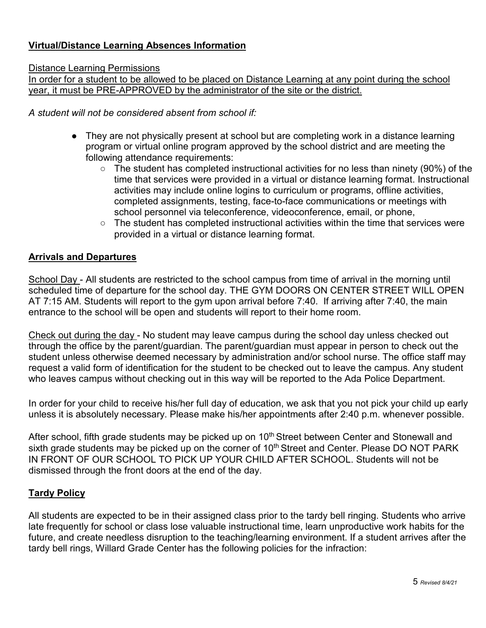# **Virtual/Distance Learning Absences Information**

### Distance Learning Permissions

In order for a student to be allowed to be placed on Distance Learning at any point during the school year, it must be PRE-APPROVED by the administrator of the site or the district.

*A student will not be considered absent from school if:*

- They are not physically present at school but are completing work in a distance learning program or virtual online program approved by the school district and are meeting the following attendance requirements:
	- The student has completed instructional activities for no less than ninety (90%) of the time that services were provided in a virtual or distance learning format. Instructional activities may include online logins to curriculum or programs, offline activities, completed assignments, testing, face-to-face communications or meetings with school personnel via teleconference, videoconference, email, or phone,
	- The student has completed instructional activities within the time that services were provided in a virtual or distance learning format.

### **Arrivals and Departures**

School Day - All students are restricted to the school campus from time of arrival in the morning until scheduled time of departure for the school day. THE GYM DOORS ON CENTER STREET WILL OPEN AT 7:15 AM. Students will report to the gym upon arrival before 7:40. If arriving after 7:40, the main entrance to the school will be open and students will report to their home room.

Check out during the day - No student may leave campus during the school day unless checked out through the office by the parent/guardian. The parent/guardian must appear in person to check out the student unless otherwise deemed necessary by administration and/or school nurse. The office staff may request a valid form of identification for the student to be checked out to leave the campus. Any student who leaves campus without checking out in this way will be reported to the Ada Police Department.

In order for your child to receive his/her full day of education, we ask that you not pick your child up early unless it is absolutely necessary. Please make his/her appointments after 2:40 p.m. whenever possible.

After school, fifth grade students may be picked up on 10<sup>th</sup> Street between Center and Stonewall and sixth grade students may be picked up on the corner of 10<sup>th</sup> Street and Center. Please DO NOT PARK IN FRONT OF OUR SCHOOL TO PICK UP YOUR CHILD AFTER SCHOOL. Students will not be dismissed through the front doors at the end of the day.

### **Tardy Policy**

All students are expected to be in their assigned class prior to the tardy bell ringing. Students who arrive late frequently for school or class lose valuable instructional time, learn unproductive work habits for the future, and create needless disruption to the teaching/learning environment. If a student arrives after the tardy bell rings, Willard Grade Center has the following policies for the infraction: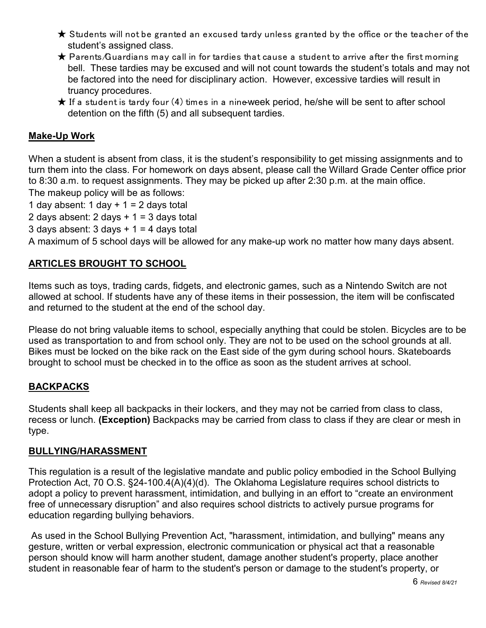- $\bigstar$  Students will not be granted an excused tardy unless granted by the office or the teacher of the student's assigned class.
- $\bigstar$  Parents/Guardians may call in for tardies that cause a student to arrive after the first morning bell. These tardies may be excused and will not count towards the student's totals and may not be factored into the need for disciplinary action. However, excessive tardies will result in truancy procedures.
- $\bigstar$  If a student is tardy four (4) times in a nine-week period, he/she will be sent to after school detention on the fifth (5) and all subsequent tardies.

# **Make-Up Work**

When a student is absent from class, it is the student's responsibility to get missing assignments and to turn them into the class. For homework on days absent, please call the Willard Grade Center office prior to 8:30 a.m. to request assignments. They may be picked up after 2:30 p.m. at the main office. The makeup policy will be as follows:

1 day absent: 1 day  $+ 1 = 2$  days total

2 days absent:  $2$  days  $+ 1 = 3$  days total

3 days absent:  $3$  days  $+ 1 = 4$  days total

A maximum of 5 school days will be allowed for any make-up work no matter how many days absent.

# **ARTICLES BROUGHT TO SCHOOL**

Items such as toys, trading cards, fidgets, and electronic games, such as a Nintendo Switch are not allowed at school. If students have any of these items in their possession, the item will be confiscated and returned to the student at the end of the school day.

Please do not bring valuable items to school, especially anything that could be stolen. Bicycles are to be used as transportation to and from school only. They are not to be used on the school grounds at all. Bikes must be locked on the bike rack on the East side of the gym during school hours. Skateboards brought to school must be checked in to the office as soon as the student arrives at school.

### **BACKPACKS**

Students shall keep all backpacks in their lockers, and they may not be carried from class to class, recess or lunch. **(Exception)** Backpacks may be carried from class to class if they are clear or mesh in type.

### **BULLYING/HARASSMENT**

This regulation is a result of the legislative mandate and public policy embodied in the School Bullying Protection Act, 70 O.S. §24-100.4(A)(4)(d). The Oklahoma Legislature requires school districts to adopt a policy to prevent harassment, intimidation, and bullying in an effort to "create an environment free of unnecessary disruption" and also requires school districts to actively pursue programs for education regarding bullying behaviors.

As used in the School Bullying Prevention Act, "harassment, intimidation, and bullying" means any gesture, written or verbal expression, electronic communication or physical act that a reasonable person should know will harm another student, damage another student's property, place another student in reasonable fear of harm to the student's person or damage to the student's property, or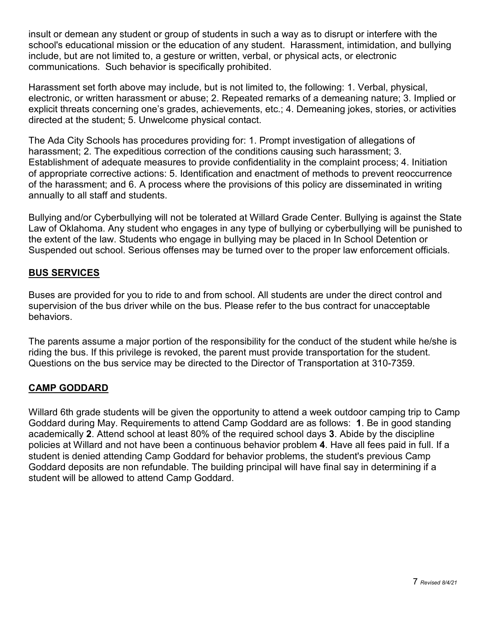insult or demean any student or group of students in such a way as to disrupt or interfere with the school's educational mission or the education of any student. Harassment, intimidation, and bullying include, but are not limited to, a gesture or written, verbal, or physical acts, or electronic communications. Such behavior is specifically prohibited.

Harassment set forth above may include, but is not limited to, the following: 1. Verbal, physical, electronic, or written harassment or abuse; 2. Repeated remarks of a demeaning nature; 3. Implied or explicit threats concerning one's grades, achievements, etc.; 4. Demeaning jokes, stories, or activities directed at the student; 5. Unwelcome physical contact.

The Ada City Schools has procedures providing for: 1. Prompt investigation of allegations of harassment; 2. The expeditious correction of the conditions causing such harassment; 3. Establishment of adequate measures to provide confidentiality in the complaint process; 4. Initiation of appropriate corrective actions: 5. Identification and enactment of methods to prevent reoccurrence of the harassment; and 6. A process where the provisions of this policy are disseminated in writing annually to all staff and students.

Bullying and/or Cyberbullying will not be tolerated at Willard Grade Center. Bullying is against the State Law of Oklahoma. Any student who engages in any type of bullying or cyberbullying will be punished to the extent of the law. Students who engage in bullying may be placed in In School Detention or Suspended out school. Serious offenses may be turned over to the proper law enforcement officials.

# **BUS SERVICES**

Buses are provided for you to ride to and from school. All students are under the direct control and supervision of the bus driver while on the bus. Please refer to the bus contract for unacceptable behaviors.

The parents assume a major portion of the responsibility for the conduct of the student while he/she is riding the bus. If this privilege is revoked, the parent must provide transportation for the student. Questions on the bus service may be directed to the Director of Transportation at 310-7359.

# **CAMP GODDARD**

Willard 6th grade students will be given the opportunity to attend a week outdoor camping trip to Camp Goddard during May. Requirements to attend Camp Goddard are as follows: **1**. Be in good standing academically **2**. Attend school at least 80% of the required school days **3**. Abide by the discipline policies at Willard and not have been a continuous behavior problem **4**. Have all fees paid in full. If a student is denied attending Camp Goddard for behavior problems, the student's previous Camp Goddard deposits are non refundable. The building principal will have final say in determining if a student will be allowed to attend Camp Goddard.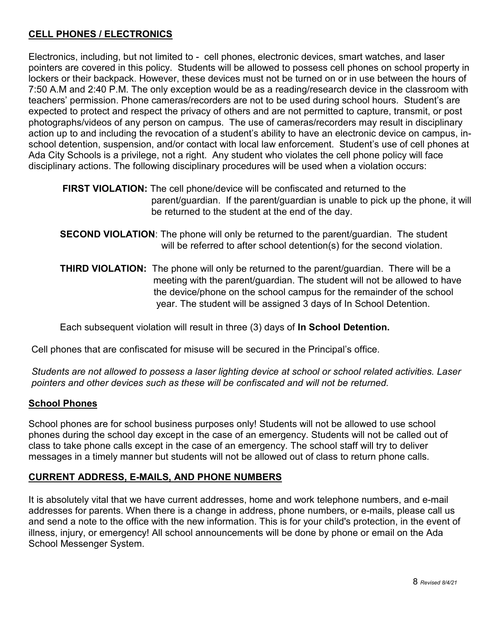# **CELL PHONES / ELECTRONICS**

Electronics, including, but not limited to - cell phones, electronic devices, smart watches, and laser pointers are covered in this policy. Students will be allowed to possess cell phones on school property in lockers or their backpack. However, these devices must not be turned on or in use between the hours of 7:50 A.M and 2:40 P.M. The only exception would be as a reading/research device in the classroom with teachers' permission. Phone cameras/recorders are not to be used during school hours. Student's are expected to protect and respect the privacy of others and are not permitted to capture, transmit, or post photographs/videos of any person on campus. The use of cameras/recorders may result in disciplinary action up to and including the revocation of a student's ability to have an electronic device on campus, inschool detention, suspension, and/or contact with local law enforcement. Student's use of cell phones at Ada City Schools is a privilege, not a right. Any student who violates the cell phone policy will face disciplinary actions. The following disciplinary procedures will be used when a violation occurs:

**FIRST VIOLATION:** The cell phone/device will be confiscated and returned to the parent/guardian. If the parent/guardian is unable to pick up the phone, it will be returned to the student at the end of the day.

- **SECOND VIOLATION**: The phone will only be returned to the parent/guardian. The student will be referred to after school detention(s) for the second violation.
- **THIRD VIOLATION:** The phone will only be returned to the parent/guardian. There will be a meeting with the parent/guardian. The student will not be allowed to have the device/phone on the school campus for the remainder of the school year. The student will be assigned 3 days of In School Detention.

Each subsequent violation will result in three (3) days of **In School Detention.**

Cell phones that are confiscated for misuse will be secured in the Principal's office.

*Students are not allowed to possess a laser lighting device at school or school related activities. Laser pointers and other devices such as these will be confiscated and will not be returned.* 

### **School Phones**

School phones are for school business purposes only! Students will not be allowed to use school phones during the school day except in the case of an emergency. Students will not be called out of class to take phone calls except in the case of an emergency. The school staff will try to deliver messages in a timely manner but students will not be allowed out of class to return phone calls.

# **CURRENT ADDRESS, E-MAILS, AND PHONE NUMBERS**

It is absolutely vital that we have current addresses, home and work telephone numbers, and e-mail addresses for parents. When there is a change in address, phone numbers, or e-mails, please call us and send a note to the office with the new information. This is for your child's protection, in the event of illness, injury, or emergency! All school announcements will be done by phone or email on the Ada School Messenger System.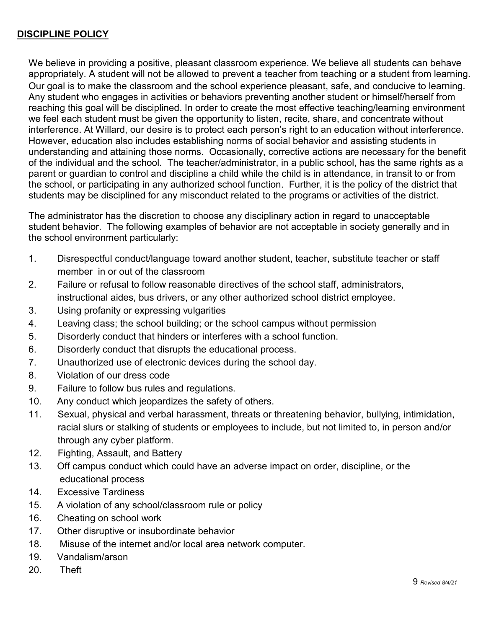# **DISCIPLINE POLICY**

We believe in providing a positive, pleasant classroom experience. We believe all students can behave appropriately. A student will not be allowed to prevent a teacher from teaching or a student from learning. Our goal is to make the classroom and the school experience pleasant, safe, and conducive to learning. Any student who engages in activities or behaviors preventing another student or himself/herself from reaching this goal will be disciplined. In order to create the most effective teaching/learning environment we feel each student must be given the opportunity to listen, recite, share, and concentrate without interference. At Willard, our desire is to protect each person's right to an education without interference. However, education also includes establishing norms of social behavior and assisting students in understanding and attaining those norms. Occasionally, corrective actions are necessary for the benefit of the individual and the school. The teacher/administrator, in a public school, has the same rights as a parent or guardian to control and discipline a child while the child is in attendance, in transit to or from the school, or participating in any authorized school function. Further, it is the policy of the district that students may be disciplined for any misconduct related to the programs or activities of the district.

The administrator has the discretion to choose any disciplinary action in regard to unacceptable student behavior. The following examples of behavior are not acceptable in society generally and in the school environment particularly:

- 1. Disrespectful conduct/language toward another student, teacher, substitute teacher or staff member in or out of the classroom
- 2. Failure or refusal to follow reasonable directives of the school staff, administrators, instructional aides, bus drivers, or any other authorized school district employee.
- 3. Using profanity or expressing vulgarities
- 4. Leaving class; the school building; or the school campus without permission
- 5. Disorderly conduct that hinders or interferes with a school function.
- 6. Disorderly conduct that disrupts the educational process.
- 7. Unauthorized use of electronic devices during the school day.
- 8. Violation of our dress code
- 9. Failure to follow bus rules and regulations.
- 10. Any conduct which jeopardizes the safety of others.
- 11. Sexual, physical and verbal harassment, threats or threatening behavior, bullying, intimidation, racial slurs or stalking of students or employees to include, but not limited to, in person and/or through any cyber platform.
- 12. Fighting, Assault, and Battery
- 13. Off campus conduct which could have an adverse impact on order, discipline, or the educational process
- 14. Excessive Tardiness
- 15. A violation of any school/classroom rule or policy
- 16. Cheating on school work
- 17. Other disruptive or insubordinate behavior
- 18. Misuse of the internet and/or local area network computer.
- 19. Vandalism/arson
- 20. Theft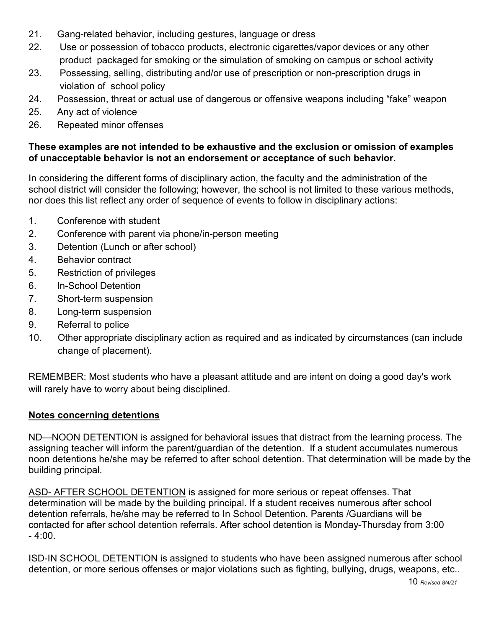- 21. Gang-related behavior, including gestures, language or dress
- 22. Use or possession of tobacco products, electronic cigarettes/vapor devices or any other product packaged for smoking or the simulation of smoking on campus or school activity
- 23. Possessing, selling, distributing and/or use of prescription or non-prescription drugs in violation of school policy
- 24. Possession, threat or actual use of dangerous or offensive weapons including "fake" weapon
- 25. Any act of violence
- 26. Repeated minor offenses

# **These examples are not intended to be exhaustive and the exclusion or omission of examples of unacceptable behavior is not an endorsement or acceptance of such behavior.**

In considering the different forms of disciplinary action, the faculty and the administration of the school district will consider the following; however, the school is not limited to these various methods, nor does this list reflect any order of sequence of events to follow in disciplinary actions:

- 1. Conference with student
- 2. Conference with parent via phone/in-person meeting
- 3. Detention (Lunch or after school)
- 4. Behavior contract
- 5. Restriction of privileges
- 6. In-School Detention
- 7. Short-term suspension
- 8. Long-term suspension
- 9. Referral to police
- 10. Other appropriate disciplinary action as required and as indicated by circumstances (can include change of placement).

REMEMBER: Most students who have a pleasant attitude and are intent on doing a good day's work will rarely have to worry about being disciplined.

# **Notes concerning detentions**

ND—NOON DETENTION is assigned for behavioral issues that distract from the learning process. The assigning teacher will inform the parent/guardian of the detention. If a student accumulates numerous noon detentions he/she may be referred to after school detention. That determination will be made by the building principal.

ASD- AFTER SCHOOL DETENTION is assigned for more serious or repeat offenses. That determination will be made by the building principal. If a student receives numerous after school detention referrals, he/she may be referred to In School Detention. Parents /Guardians will be contacted for after school detention referrals. After school detention is Monday-Thursday from 3:00  $-4:00.$ 

ISD-IN SCHOOL DETENTION is assigned to students who have been assigned numerous after school detention, or more serious offenses or major violations such as fighting, bullying, drugs, weapons, etc..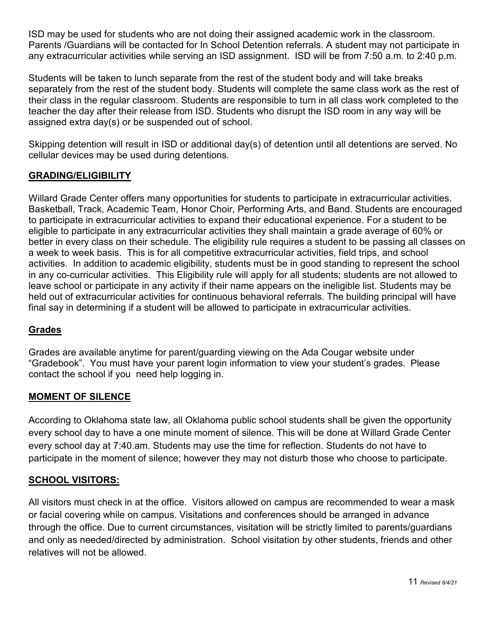ISD may be used for students who are not doing their assigned academic work in the classroom. Parents /Guardians will be contacted for In School Detention referrals. A student may not participate in any extracurricular activities while serving an ISD assignment. ISD will be from 7:50 a.m. to 2:40 p.m.

Students will be taken to lunch separate from the rest of the student body and will take breaks separately from the rest of the student body. Students will complete the same class work as the rest of their class in the regular classroom. Students are responsible to turn in all class work completed to the teacher the day after their release from ISD. Students who disrupt the ISD room in any way will be assigned extra day(s) or be suspended out of school.

Skipping detention will result in ISD or additional day(s) of detention until all detentions are served. No cellular devices may be used during detentions.

# **GRADING/ELIGIBILITY**

Willard Grade Center offers many opportunities for students to participate in extracurricular activities. Basketball, Track, Academic Team, Honor Choir, Performing Arts, and Band. Students are encouraged to participate in extracurricular activities to expand their educational experience. For a student to be eligible to participate in any extracurricular activities they shall maintain a grade average of 60% or better in every class on their schedule. The eligibility rule requires a student to be passing all classes on a week to week basis. This is for all competitive extracurricular activities, field trips, and school activities. In addition to academic eligibility, students must be in good standing to represent the school in any co-curricular activities. This Eligibility rule will apply for all students; students are not allowed to leave school or participate in any activity if their name appears on the ineligible list. Students may be held out of extracurricular activities for continuous behavioral referrals. The building principal will have final say in determining if a student will be allowed to participate in extracurricular activities.

### **Grades**

Grades are available anytime for parent/guarding viewing on the Ada Cougar website under "Gradebook". You must have your parent login information to view your student's grades. Please contact the school if you need help logging in.

### **MOMENT OF SILENCE**

According to Oklahoma state law, all Oklahoma public school students shall be given the opportunity every school day to have a one minute moment of silence. This will be done at Willard Grade Center every school day at 7:40.am. Students may use the time for reflection. Students do not have to participate in the moment of silence; however they may not disturb those who choose to participate.

### **SCHOOL VISITORS:**

All visitors must check in at the office. Visitors allowed on campus are recommended to wear a mask or facial covering while on campus. Visitations and conferences should be arranged in advance through the office. Due to current circumstances, visitation will be strictly limited to parents/guardians and only as needed/directed by administration. School visitation by other students, friends and other relatives will not be allowed.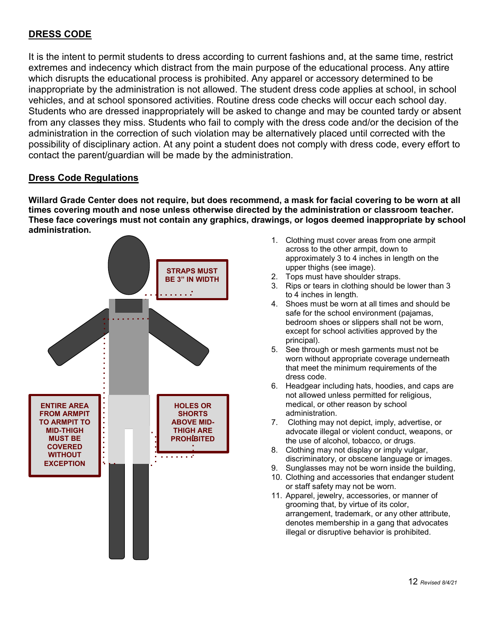# **DRESS CODE**

It is the intent to permit students to dress according to current fashions and, at the same time, restrict extremes and indecency which distract from the main purpose of the educational process. Any attire which disrupts the educational process is prohibited. Any apparel or accessory determined to be inappropriate by the administration is not allowed. The student dress code applies at school, in school vehicles, and at school sponsored activities. Routine dress code checks will occur each school day. Students who are dressed inappropriately will be asked to change and may be counted tardy or absent from any classes they miss. Students who fail to comply with the dress code and/or the decision of the administration in the correction of such violation may be alternatively placed until corrected with the possibility of disciplinary action. At any point a student does not comply with dress code, every effort to contact the parent/guardian will be made by the administration.

### **Dress Code Regulations**

**Willard Grade Center does not require, but does recommend, a mask for facial covering to be worn at all times covering mouth and nose unless otherwise directed by the administration or classroom teacher. These face coverings must not contain any graphics, drawings, or logos deemed inappropriate by school administration.** 



- 1. Clothing must cover areas from one armpit across to the other armpit, down to approximately 3 to 4 inches in length on the upper thighs (see image).
- 2. Tops must have shoulder straps.
- 3. Rips or tears in clothing should be lower than 3 to 4 inches in length.
- 4. Shoes must be worn at all times and should be safe for the school environment (pajamas, bedroom shoes or slippers shall not be worn, except for school activities approved by the principal).
- 5. See through or mesh garments must not be worn without appropriate coverage underneath that meet the minimum requirements of the dress code.
- 6. Headgear including hats, hoodies, and caps are not allowed unless permitted for religious, medical, or other reason by school administration.
- 7. Clothing may not depict, imply, advertise, or advocate illegal or violent conduct, weapons, or the use of alcohol, tobacco, or drugs.
- 8. Clothing may not display or imply vulgar, discriminatory, or obscene language or images.
- 9. Sunglasses may not be worn inside the building, 10. Clothing and accessories that endanger student
- or staff safety may not be worn.
- 11. Apparel, jewelry, accessories, or manner of grooming that, by virtue of its color, arrangement, trademark, or any other attribute, denotes membership in a gang that advocates illegal or disruptive behavior is prohibited.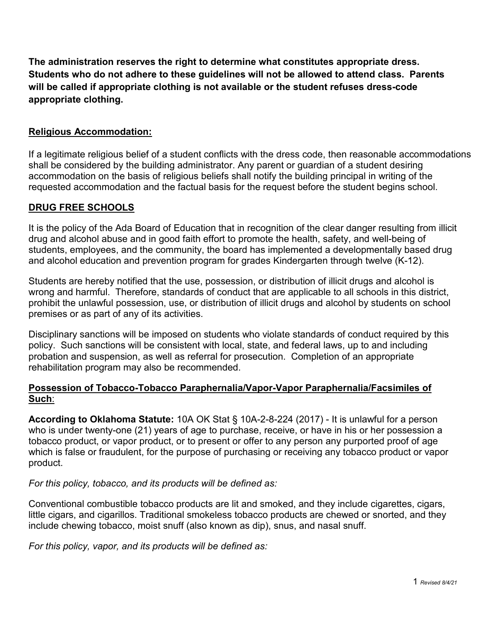**The administration reserves the right to determine what constitutes appropriate dress. Students who do not adhere to these guidelines will not be allowed to attend class. Parents will be called if appropriate clothing is not available or the student refuses dress-code appropriate clothing.** 

# **Religious Accommodation:**

If a legitimate religious belief of a student conflicts with the dress code, then reasonable accommodations shall be considered by the building administrator. Any parent or guardian of a student desiring accommodation on the basis of religious beliefs shall notify the building principal in writing of the requested accommodation and the factual basis for the request before the student begins school.

# **DRUG FREE SCHOOLS**

It is the policy of the Ada Board of Education that in recognition of the clear danger resulting from illicit drug and alcohol abuse and in good faith effort to promote the health, safety, and well-being of students, employees, and the community, the board has implemented a developmentally based drug and alcohol education and prevention program for grades Kindergarten through twelve (K-12).

Students are hereby notified that the use, possession, or distribution of illicit drugs and alcohol is wrong and harmful. Therefore, standards of conduct that are applicable to all schools in this district, prohibit the unlawful possession, use, or distribution of illicit drugs and alcohol by students on school premises or as part of any of its activities.

Disciplinary sanctions will be imposed on students who violate standards of conduct required by this policy. Such sanctions will be consistent with local, state, and federal laws, up to and including probation and suspension, as well as referral for prosecution. Completion of an appropriate rehabilitation program may also be recommended.

# **Possession of Tobacco-Tobacco Paraphernalia/Vapor-Vapor Paraphernalia/Facsimiles of Such**:

**According to Oklahoma Statute[:](https://law.justia.com/citations.html)** [10A OK Stat § 10A-2-8-224 \(2017\)](https://law.justia.com/citations.html) - It is unlawful for a person who is under twenty-one (21) years of age to purchase, receive, or have in his or her possession a tobacco product, or vapor product, or to present or offer to any person any purported proof of age which is false or fraudulent, for the purpose of purchasing or receiving any tobacco product or vapor product.

### *For this policy, tobacco, and its products will be defined as:*

Conventional combustible tobacco products are lit and smoked, and they include cigarettes, cigars, little cigars, and cigarillos. Traditional smokeless tobacco products are chewed or snorted, and they include chewing tobacco, moist snuff (also known as dip), snus, and nasal snuff.

*For this policy, vapor, and its products will be defined as:*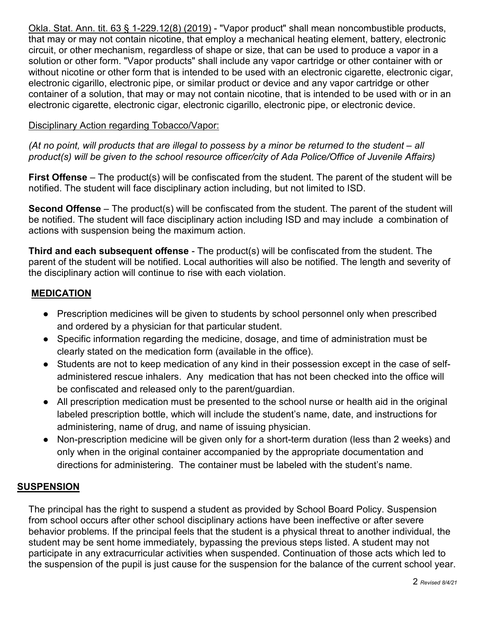[Okla. Stat. Ann. tit. 63 § 1-229.12\(8\) \(2019\)](https://law.justia.com/codes/oklahoma/2017/title-63/section-63-1-229.12/) - "Vapor product" shall mean noncombustible products, that may or may not contain nicotine, that employ a mechanical heating element, battery, electronic circuit, or other mechanism, regardless of shape or size, that can be used to produce a vapor in a solution or other form. "Vapor products" shall include any vapor cartridge or other container with or without nicotine or other form that is intended to be used with an electronic cigarette, electronic cigar, electronic cigarillo, electronic pipe, or similar product or device and any vapor cartridge or other container of a solution, that may or may not contain nicotine, that is intended to be used with or in an electronic cigarette, electronic cigar, electronic cigarillo, electronic pipe, or electronic device.

### Disciplinary Action regarding Tobacco/Vapor:

*(At no point, will products that are illegal to possess by a minor be returned to the student – all product(s) will be given to the school resource officer/city of Ada Police/Office of Juvenile Affairs)* 

**First Offense** – The product(s) will be confiscated from the student. The parent of the student will be notified. The student will face disciplinary action including, but not limited to ISD.

**Second Offense** – The product(s) will be confiscated from the student. The parent of the student will be notified. The student will face disciplinary action including ISD and may include a combination of actions with suspension being the maximum action.

**Third and each subsequent offense** - The product(s) will be confiscated from the student. The parent of the student will be notified. Local authorities will also be notified. The length and severity of the disciplinary action will continue to rise with each violation.

# **MEDICATION**

- Prescription medicines will be given to students by school personnel only when prescribed and ordered by a physician for that particular student.
- Specific information regarding the medicine, dosage, and time of administration must be clearly stated on the medication form (available in the office).
- Students are not to keep medication of any kind in their possession except in the case of selfadministered rescue inhalers. Any medication that has not been checked into the office will be confiscated and released only to the parent/guardian.
- All prescription medication must be presented to the school nurse or health aid in the original labeled prescription bottle, which will include the student's name, date, and instructions for administering, name of drug, and name of issuing physician.
- Non-prescription medicine will be given only for a short-term duration (less than 2 weeks) and only when in the original container accompanied by the appropriate documentation and directions for administering. The container must be labeled with the student's name.

# **SUSPENSION**

The principal has the right to suspend a student as provided by School Board Policy. Suspension from school occurs after other school disciplinary actions have been ineffective or after severe behavior problems. If the principal feels that the student is a physical threat to another individual, the student may be sent home immediately, bypassing the previous steps listed. A student may not participate in any extracurricular activities when suspended. Continuation of those acts which led to the suspension of the pupil is just cause for the suspension for the balance of the current school year.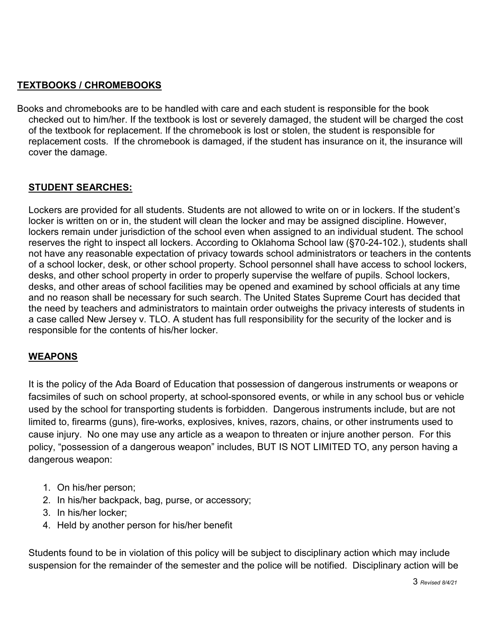# **TEXTBOOKS / CHROMEBOOKS**

Books and chromebooks are to be handled with care and each student is responsible for the book checked out to him/her. If the textbook is lost or severely damaged, the student will be charged the cost of the textbook for replacement. If the chromebook is lost or stolen, the student is responsible for replacement costs. If the chromebook is damaged, if the student has insurance on it, the insurance will cover the damage.

# **STUDENT SEARCHES:**

Lockers are provided for all students. Students are not allowed to write on or in lockers. If the student's locker is written on or in, the student will clean the locker and may be assigned discipline. However, lockers remain under jurisdiction of the school even when assigned to an individual student. The school reserves the right to inspect all lockers. According to Oklahoma School law (§70-24-102.), students shall not have any reasonable expectation of privacy towards school administrators or teachers in the contents of a school locker, desk, or other school property. School personnel shall have access to school lockers, desks, and other school property in order to properly supervise the welfare of pupils. School lockers, desks, and other areas of school facilities may be opened and examined by school officials at any time and no reason shall be necessary for such search. The United States Supreme Court has decided that the need by teachers and administrators to maintain order outweighs the privacy interests of students in a case called New Jersey v. TLO. A student has full responsibility for the security of the locker and is responsible for the contents of his/her locker.

# **WEAPONS**

It is the policy of the Ada Board of Education that possession of dangerous instruments or weapons or facsimiles of such on school property, at school-sponsored events, or while in any school bus or vehicle used by the school for transporting students is forbidden. Dangerous instruments include, but are not limited to, firearms (guns), fire-works, explosives, knives, razors, chains, or other instruments used to cause injury. No one may use any article as a weapon to threaten or injure another person. For this policy, "possession of a dangerous weapon" includes, BUT IS NOT LIMITED TO, any person having a dangerous weapon:

- 1. On his/her person;
- 2. In his/her backpack, bag, purse, or accessory;
- 3. In his/her locker;
- 4. Held by another person for his/her benefit

Students found to be in violation of this policy will be subject to disciplinary action which may include suspension for the remainder of the semester and the police will be notified. Disciplinary action will be